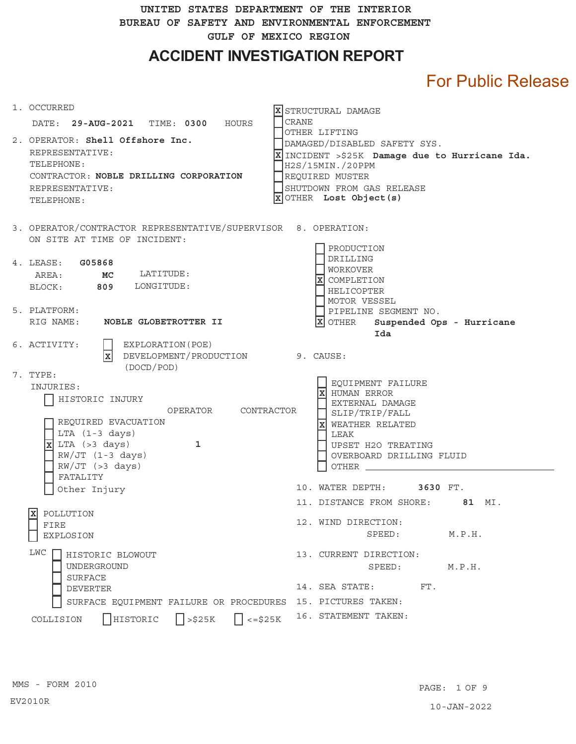**UNITED STATES DEPARTMENT OF THE INTERIOR BUREAU OF SAFETY AND ENVIRONMENTAL ENFORCEMENT GULF OF MEXICO REGION** 

**ACCIDENT INVESTIGATION REPORT** 

# For Public Release

| 1. OCCURRED<br>DATE: 29-AUG-2021 TIME: 0300 HOURS                                                                                                                                                                                                     | X STRUCTURAL DAMAGE<br>CRANE                                                                                                                                                                     |
|-------------------------------------------------------------------------------------------------------------------------------------------------------------------------------------------------------------------------------------------------------|--------------------------------------------------------------------------------------------------------------------------------------------------------------------------------------------------|
| 2. OPERATOR: Shell Offshore Inc.<br>REPRESENTATIVE:<br>TELEPHONE:<br>CONTRACTOR: NOBLE DRILLING CORPORATION<br>REPRESENTATIVE:<br>TELEPHONE:                                                                                                          | OTHER LIFTING<br>DAMAGED/DISABLED SAFETY SYS.<br>X INCIDENT > \$25K Damage due to Hurricane Ida.<br>H2S/15MIN./20PPM<br>REQUIRED MUSTER<br>SHUTDOWN FROM GAS RELEASE<br>$X$ OTHER Lost Object(s) |
| 3. OPERATOR/CONTRACTOR REPRESENTATIVE/SUPERVISOR 8. OPERATION:<br>ON SITE AT TIME OF INCIDENT:                                                                                                                                                        | PRODUCTION                                                                                                                                                                                       |
| 4. LEASE: G05868<br>LATITUDE:<br>AREA: MC<br>BLOCK: 809 LONGITUDE:                                                                                                                                                                                    | DRILLING<br><b>WORKOVER</b><br>X COMPLETION<br>HELICOPTER<br>MOTOR VESSEL                                                                                                                        |
| 5. PLATFORM:<br>RIG NAME: NOBLE GLOBETROTTER II                                                                                                                                                                                                       | PIPELINE SEGMENT NO.<br>$ \overline{X} $ OTHER Suspended Ops - Hurricane<br>Ida                                                                                                                  |
| 6. ACTIVITY:<br>EXPLORATION (POE)<br>$\overline{\mathbf{x}}$<br>DEVELOPMENT/PRODUCTION 9. CAUSE:                                                                                                                                                      |                                                                                                                                                                                                  |
| (DOCD/POD)<br>7. TYPE:<br>INJURIES:<br>HISTORIC INJURY<br>OPERATOR<br>CONTRACTOR<br>REQUIRED EVACUATION<br>$LTA$ $(1-3 \text{ days})$<br>$\overline{\mathbf{x}}$ LTA (>3 days)<br>$\mathbf{1}$<br>$RW/JT$ (1-3 days)<br>$RW/JT$ (>3 days)<br>FATALITY | EQUIPMENT FAILURE<br>lxl<br>HUMAN ERROR<br>EXTERNAL DAMAGE<br>SLIP/TRIP/FALL<br>WEATHER RELATED<br>lx<br>LEAK<br>UPSET H2O TREATING<br>OVERBOARD DRILLING FLUID<br><b>OTHER</b>                  |
| Other Injury                                                                                                                                                                                                                                          | 10. WATER DEPTH:<br>3630 FT.                                                                                                                                                                     |
| lxl<br>POLLUTION<br>FIRE<br>EXPLOSION                                                                                                                                                                                                                 | 11. DISTANCE FROM SHORE: 81 MI.<br>12. WIND DIRECTION:<br>SPEED:<br>M.P.H.                                                                                                                       |
| LWC<br>HISTORIC BLOWOUT<br>UNDERGROUND<br><b>SURFACE</b><br><b>DEVERTER</b>                                                                                                                                                                           | 13. CURRENT DIRECTION:<br>SPEED:<br>M.P.H.<br>14. SEA STATE:<br>FT.                                                                                                                              |
| SURFACE EQUIPMENT FAILURE OR PROCEDURES 15. PICTURES TAKEN:                                                                                                                                                                                           |                                                                                                                                                                                                  |
| $\Box$ <= \$25K<br>$\sqrt{\left  \right }$ >\$25K<br>HISTORIC<br>COLLISION                                                                                                                                                                            | 16. STATEMENT TAKEN:                                                                                                                                                                             |

EV2010R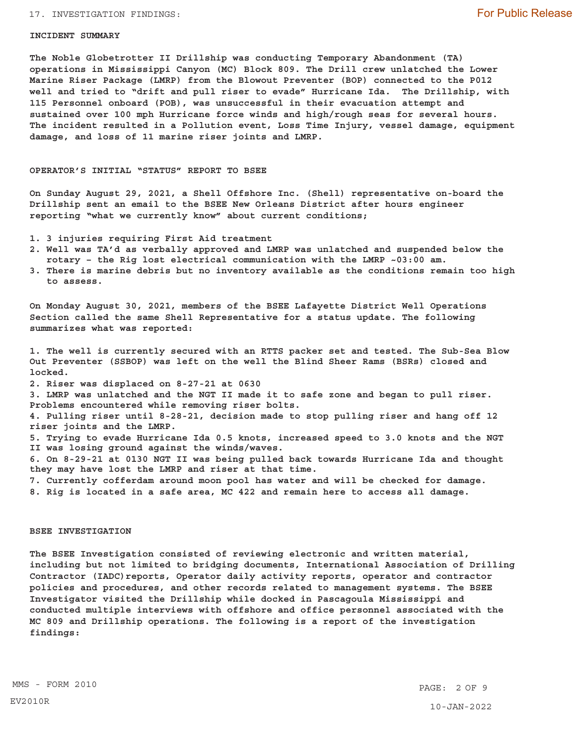## 17. INVESTIGATION FINDINGS:

#### **INCIDENT SUMMARY**

**The Noble Globetrotter II Drillship was conducting Temporary Abandonment (TA) operations in Mississippi Canyon (MC) Block 809. The Drill crew unlatched the Lower Marine Riser Package (LMRP) from the Blowout Preventer (BOP) connected to the P012 well and tried to "drift and pull riser to evade" Hurricane Ida. The Drillship, with 115 Personnel onboard (POB), was unsuccessful in their evacuation attempt and sustained over 100 mph Hurricane force winds and high/rough seas for several hours. The incident resulted in a Pollution event, Loss Time Injury, vessel damage, equipment damage, and loss of 11 marine riser joints and LMRP.** 

## **OPERATOR'S INITIAL "STATUS" REPORT TO BSEE**

**On Sunday August 29, 2021, a Shell Offshore Inc. (Shell) representative on-board the Drillship sent an email to the BSEE New Orleans District after hours engineer reporting "what we currently know" about current conditions;** 

- **1. 3 injuries requiring First Aid treatment**
- **2. Well was TA'd as verbally approved and LMRP was unlatched and suspended below the rotary – the Rig lost electrical communication with the LMRP ~03:00 am.**
- **3. There is marine debris but no inventory available as the conditions remain too high to assess.**

**On Monday August 30, 2021, members of the BSEE Lafayette District Well Operations Section called the same Shell Representative for a status update. The following summarizes what was reported:** 

**1. The well is currently secured with an RTTS packer set and tested. The Sub-Sea Blow Out Preventer (SSBOP) was left on the well the Blind Sheer Rams (BSRs) closed and locked. 2. Riser was displaced on 8-27-21 at 0630 3. LMRP was unlatched and the NGT II made it to safe zone and began to pull riser. Problems encountered while removing riser bolts. 4. Pulling riser until 8-28-21, decision made to stop pulling riser and hang off 12** 

**riser joints and the LMRP. 5. Trying to evade Hurricane Ida 0.5 knots, increased speed to 3.0 knots and the NGT II was losing ground against the winds/waves. 6. On 8-29-21 at 0130 NGT II was being pulled back towards Hurricane Ida and thought** 

**they may have lost the LMRP and riser at that time. 7. Currently cofferdam around moon pool has water and will be checked for damage. 8. Rig is located in a safe area, MC 422 and remain here to access all damage.** 

# **BSEE INVESTIGATION**

**The BSEE Investigation consisted of reviewing electronic and written material, including but not limited to bridging documents, International Association of Drilling Contractor (IADC)reports, Operator daily activity reports, operator and contractor policies and procedures, and other records related to management systems. The BSEE Investigator visited the Drillship while docked in Pascagoula Mississippi and conducted multiple interviews with offshore and office personnel associated with the MC 809 and Drillship operations. The following is a report of the investigation findings:**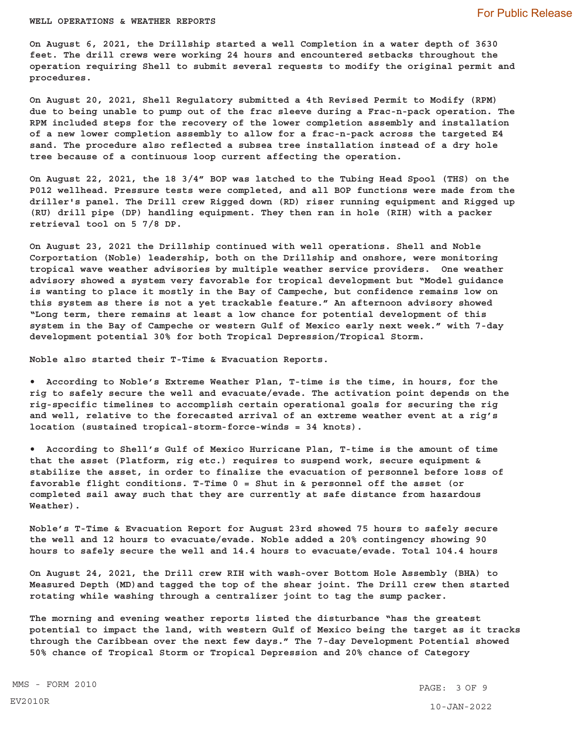#### **WELL OPERATIONS & WEATHER REPORTS**

**On August 6, 2021, the Drillship started a well Completion in a water depth of 3630 feet. The drill crews were working 24 hours and encountered setbacks throughout the operation requiring Shell to submit several requests to modify the original permit and procedures.** 

**On August 20, 2021, Shell Regulatory submitted a 4th Revised Permit to Modify (RPM) due to being unable to pump out of the frac sleeve during a Frac-n-pack operation. The RPM included steps for the recovery of the lower completion assembly and installation of a new lower completion assembly to allow for a frac-n-pack across the targeted E4 sand. The procedure also reflected a subsea tree installation instead of a dry hole tree because of a continuous loop current affecting the operation.** 

**On August 22, 2021, the 18 3/4" BOP was latched to the Tubing Head Spool (THS) on the P012 wellhead. Pressure tests were completed, and all BOP functions were made from the driller's panel. The Drill crew Rigged down (RD) riser running equipment and Rigged up (RU) drill pipe (DP) handling equipment. They then ran in hole (RIH) with a packer retrieval tool on 5 7/8 DP.** 

**On August 23, 2021 the Drillship continued with well operations. Shell and Noble Corportation (Noble) leadership, both on the Drillship and onshore, were monitoring tropical wave weather advisories by multiple weather service providers. One weather advisory showed a system very favorable for tropical development but "Model guidance is wanting to place it mostly in the Bay of Campeche, but confidence remains low on this system as there is not a yet trackable feature." An afternoon advisory showed "Long term, there remains at least a low chance for potential development of this system in the Bay of Campeche or western Gulf of Mexico early next week." with 7-day development potential 30% for both Tropical Depression/Tropical Storm.** 

**Noble also started their T-Time & Evacuation Reports.** 

 **According to Noble's Extreme Weather Plan, T-time is the time, in hours, for the rig to safely secure the well and evacuate/evade. The activation point depends on the rig-specific timelines to accomplish certain operational goals for securing the rig and well, relative to the forecasted arrival of an extreme weather event at a rig's location (sustained tropical-storm-force-winds = 34 knots).** 

 **According to Shell's Gulf of Mexico Hurricane Plan, T-time is the amount of time that the asset (Platform, rig etc.) requires to suspend work, secure equipment & stabilize the asset, in order to finalize the evacuation of personnel before loss of favorable flight conditions. T-Time 0 = Shut in & personnel off the asset (or completed sail away such that they are currently at safe distance from hazardous Weather).** 

**Noble's T-Time & Evacuation Report for August 23rd showed 75 hours to safely secure the well and 12 hours to evacuate/evade. Noble added a 20% contingency showing 90 hours to safely secure the well and 14.4 hours to evacuate/evade. Total 104.4 hours** 

**On August 24, 2021, the Drill crew RIH with wash-over Bottom Hole Assembly (BHA) to Measured Depth (MD)and tagged the top of the shear joint. The Drill crew then started rotating while washing through a centralizer joint to tag the sump packer.** 

**The morning and evening weather reports listed the disturbance "has the greatest potential to impact the land, with western Gulf of Mexico being the target as it tracks through the Caribbean over the next few days." The 7-day Development Potential showed 50% chance of Tropical Storm or Tropical Depression and 20% chance of Category** 

MMS - FORM 2010 PAGE: 3 OF 9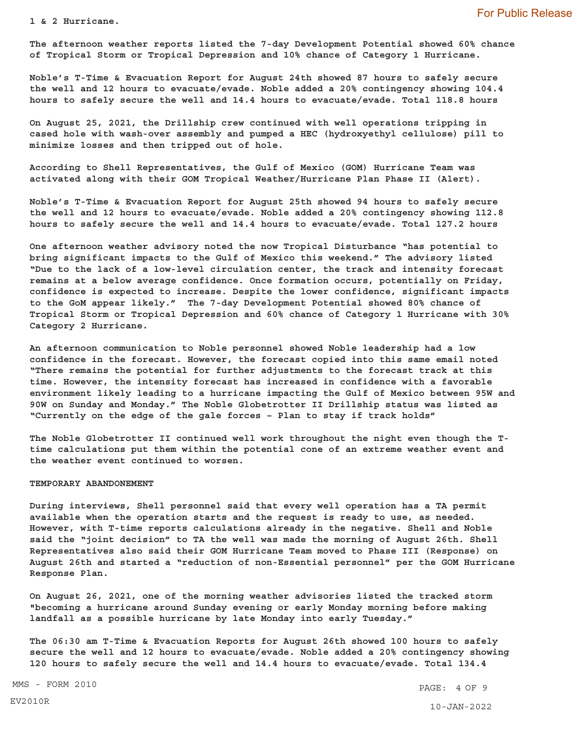**1 & 2 Hurricane.** 

**The afternoon weather reports listed the 7-day Development Potential showed 60% chance of Tropical Storm or Tropical Depression and 10% chance of Category 1 Hurricane.** 

**Noble's T-Time & Evacuation Report for August 24th showed 87 hours to safely secure the well and 12 hours to evacuate/evade. Noble added a 20% contingency showing 104.4 hours to safely secure the well and 14.4 hours to evacuate/evade. Total 118.8 hours** 

**On August 25, 2021, the Drillship crew continued with well operations tripping in cased hole with wash-over assembly and pumped a HEC (hydroxyethyl cellulose) pill to minimize losses and then tripped out of hole.** 

**According to Shell Representatives, the Gulf of Mexico (GOM) Hurricane Team was activated along with their GOM Tropical Weather/Hurricane Plan Phase II (Alert).** 

**Noble's T-Time & Evacuation Report for August 25th showed 94 hours to safely secure the well and 12 hours to evacuate/evade. Noble added a 20% contingency showing 112.8 hours to safely secure the well and 14.4 hours to evacuate/evade. Total 127.2 hours** 

**One afternoon weather advisory noted the now Tropical Disturbance "has potential to bring significant impacts to the Gulf of Mexico this weekend." The advisory listed "Due to the lack of a low-level circulation center, the track and intensity forecast remains at a below average confidence. Once formation occurs, potentially on Friday, confidence is expected to increase. Despite the lower confidence, significant impacts to the GoM appear likely." The 7-day Development Potential showed 80% chance of Tropical Storm or Tropical Depression and 60% chance of Category 1 Hurricane with 30% Category 2 Hurricane.** 

**An afternoon communication to Noble personnel showed Noble leadership had a low confidence in the forecast. However, the forecast copied into this same email noted "There remains the potential for further adjustments to the forecast track at this time. However, the intensity forecast has increased in confidence with a favorable environment likely leading to a hurricane impacting the Gulf of Mexico between 95W and 90W on Sunday and Monday." The Noble Globetrotter II Drillship status was listed as "Currently on the edge of the gale forces – Plan to stay if track holds"** 

**The Noble Globetrotter II continued well work throughout the night even though the Ttime calculations put them within the potential cone of an extreme weather event and the weather event continued to worsen.** 

#### **TEMPORARY ABANDONEMENT**

**During interviews, Shell personnel said that every well operation has a TA permit available when the operation starts and the request is ready to use, as needed. However, with T-time reports calculations already in the negative. Shell and Noble said the "joint decision" to TA the well was made the morning of August 26th. Shell Representatives also said their GOM Hurricane Team moved to Phase III (Response) on August 26th and started a "reduction of non-Essential personnel" per the GOM Hurricane Response Plan.** 

**On August 26, 2021, one of the morning weather advisories listed the tracked storm "becoming a hurricane around Sunday evening or early Monday morning before making landfall as a possible hurricane by late Monday into early Tuesday."** 

**The 06:30 am T-Time & Evacuation Reports for August 26th showed 100 hours to safely secure the well and 12 hours to evacuate/evade. Noble added a 20% contingency showing 120 hours to safely secure the well and 14.4 hours to evacuate/evade. Total 134.4** 

EV2010R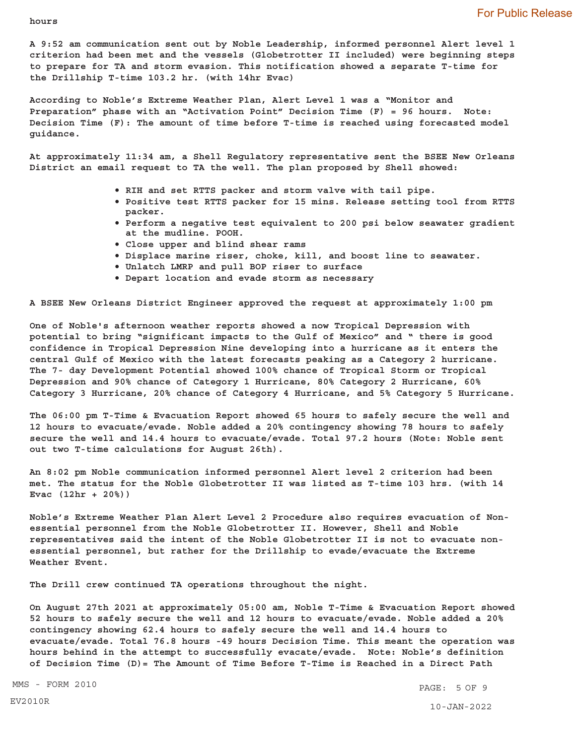**hours** 

**A 9:52 am communication sent out by Noble Leadership, informed personnel Alert level 1 criterion had been met and the vessels (Globetrotter II included) were beginning steps to prepare for TA and storm evasion. This notification showed a separate T-time for the Drillship T-time 103.2 hr. (with 14hr Evac)** 

**According to Noble's Extreme Weather Plan, Alert Level 1 was a "Monitor and Preparation" phase with an "Activation Point" Decision Time (F) = 96 hours. Note: Decision Time (F): The amount of time before T-time is reached using forecasted model guidance.** 

**At approximately 11:34 am, a Shell Regulatory representative sent the BSEE New Orleans District an email request to TA the well. The plan proposed by Shell showed:** 

- **RIH and set RTTS packer and storm valve with tail pipe.**
- **Positive test RTTS packer for 15 mins. Release setting tool from RTTS packer.**
- **Perform a negative test equivalent to 200 psi below seawater gradient at the mudline. POOH.**
- **Close upper and blind shear rams**
- **Displace marine riser, choke, kill, and boost line to seawater.**
- **Unlatch LMRP and pull BOP riser to surface**
- **Depart location and evade storm as necessary**

**A BSEE New Orleans District Engineer approved the request at approximately 1:00 pm** 

**One of Noble's afternoon weather reports showed a now Tropical Depression with potential to bring "significant impacts to the Gulf of Mexico" and " there is good confidence in Tropical Depression Nine developing into a hurricane as it enters the central Gulf of Mexico with the latest forecasts peaking as a Category 2 hurricane. The 7- day Development Potential showed 100% chance of Tropical Storm or Tropical Depression and 90% chance of Category 1 Hurricane, 80% Category 2 Hurricane, 60% Category 3 Hurricane, 20% chance of Category 4 Hurricane, and 5% Category 5 Hurricane.** 

**The 06:00 pm T-Time & Evacuation Report showed 65 hours to safely secure the well and 12 hours to evacuate/evade. Noble added a 20% contingency showing 78 hours to safely secure the well and 14.4 hours to evacuate/evade. Total 97.2 hours (Note: Noble sent out two T-time calculations for August 26th).** 

**An 8:02 pm Noble communication informed personnel Alert level 2 criterion had been met. The status for the Noble Globetrotter II was listed as T-time 103 hrs. (with 14 Evac (12hr + 20%))** 

**Noble's Extreme Weather Plan Alert Level 2 Procedure also requires evacuation of Nonessential personnel from the Noble Globetrotter II. However, Shell and Noble representatives said the intent of the Noble Globetrotter II is not to evacuate nonessential personnel, but rather for the Drillship to evade/evacuate the Extreme Weather Event.** 

**The Drill crew continued TA operations throughout the night.** 

**On August 27th 2021 at approximately 05:00 am, Noble T-Time & Evacuation Report showed 52 hours to safely secure the well and 12 hours to evacuate/evade. Noble added a 20% contingency showing 62.4 hours to safely secure the well and 14.4 hours to evacuate/evade. Total 76.8 hours -49 hours Decision Time. This meant the operation was hours behind in the attempt to successfully evacate/evade. Note: Noble's definition of Decision Time (D)= The Amount of Time Before T-Time is Reached in a Direct Path** 

MMS - FORM 2010 **PAGE: 5 OF 9**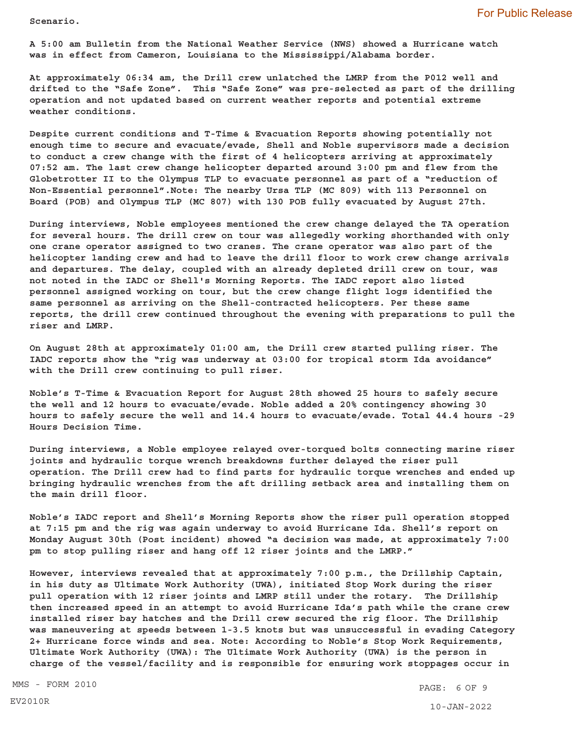**Scenario.** 

**A 5:00 am Bulletin from the National Weather Service (NWS) showed a Hurricane watch was in effect from Cameron, Louisiana to the Mississippi/Alabama border.** 

**At approximately 06:34 am, the Drill crew unlatched the LMRP from the P012 well and drifted to the "Safe Zone". This "Safe Zone" was pre-selected as part of the drilling operation and not updated based on current weather reports and potential extreme weather conditions.** 

**Despite current conditions and T-Time & Evacuation Reports showing potentially not enough time to secure and evacuate/evade, Shell and Noble supervisors made a decision to conduct a crew change with the first of 4 helicopters arriving at approximately 07:52 am. The last crew change helicopter departed around 3:00 pm and flew from the Globetrotter II to the Olympus TLP to evacuate personnel as part of a "reduction of Non-Essential personnel".Note: The nearby Ursa TLP (MC 809) with 113 Personnel on Board (POB) and Olympus TLP (MC 807) with 130 POB fully evacuated by August 27th.** 

**During interviews, Noble employees mentioned the crew change delayed the TA operation for several hours. The drill crew on tour was allegedly working shorthanded with only one crane operator assigned to two cranes. The crane operator was also part of the helicopter landing crew and had to leave the drill floor to work crew change arrivals and departures. The delay, coupled with an already depleted drill crew on tour, was not noted in the IADC or Shell's Morning Reports. The IADC report also listed personnel assigned working on tour, but the crew change flight logs identified the same personnel as arriving on the Shell-contracted helicopters. Per these same reports, the drill crew continued throughout the evening with preparations to pull the riser and LMRP.** 

**On August 28th at approximately 01:00 am, the Drill crew started pulling riser. The IADC reports show the "rig was underway at 03:00 for tropical storm Ida avoidance" with the Drill crew continuing to pull riser.** 

**Noble's T-Time & Evacuation Report for August 28th showed 25 hours to safely secure the well and 12 hours to evacuate/evade. Noble added a 20% contingency showing 30 hours to safely secure the well and 14.4 hours to evacuate/evade. Total 44.4 hours -29 Hours Decision Time.** 

**During interviews, a Noble employee relayed over-torqued bolts connecting marine riser joints and hydraulic torque wrench breakdowns further delayed the riser pull operation. The Drill crew had to find parts for hydraulic torque wrenches and ended up bringing hydraulic wrenches from the aft drilling setback area and installing them on the main drill floor.** 

**Noble's IADC report and Shell's Morning Reports show the riser pull operation stopped at 7:15 pm and the rig was again underway to avoid Hurricane Ida. Shell's report on Monday August 30th (Post incident) showed "a decision was made, at approximately 7:00 pm to stop pulling riser and hang off 12 riser joints and the LMRP."** 

**However, interviews revealed that at approximately 7:00 p.m., the Drillship Captain, in his duty as Ultimate Work Authority (UWA), initiated Stop Work during the riser pull operation with 12 riser joints and LMRP still under the rotary. The Drillship then increased speed in an attempt to avoid Hurricane Ida's path while the crane crew installed riser bay hatches and the Drill crew secured the rig floor. The Drillship was maneuvering at speeds between 1-3.5 knots but was unsuccessful in evading Category 2+ Hurricane force winds and sea. Note: According to Noble's Stop Work Requirements, Ultimate Work Authority (UWA): The Ultimate Work Authority (UWA) is the person in charge of the vessel/facility and is responsible for ensuring work stoppages occur in** 

MMS - FORM 2010 **PAGE: 6 OF 9**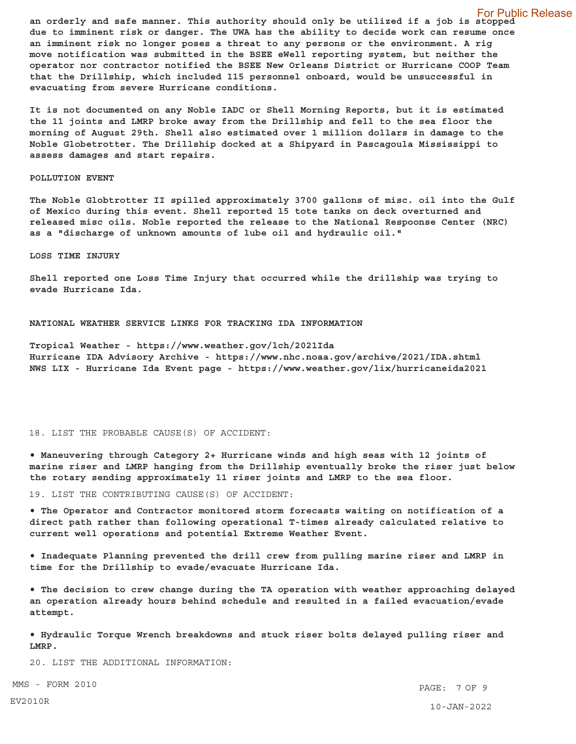For Public Release **an orderly and safe manner. This authority should only be utilized if a job is stopped due to imminent risk or danger. The UWA has the ability to decide work can resume once an imminent risk no longer poses a threat to any persons or the environment. A rig move notification was submitted in the BSEE eWell reporting system, but neither the operator nor contractor notified the BSEE New Orleans District or Hurricane COOP Team that the Drillship, which included 115 personnel onboard, would be unsuccessful in evacuating from severe Hurricane conditions.** 

**It is not documented on any Noble IADC or Shell Morning Reports, but it is estimated the 11 joints and LMRP broke away from the Drillship and fell to the sea floor the morning of August 29th. Shell also estimated over 1 million dollars in damage to the Noble Globetrotter. The Drillship docked at a Shipyard in Pascagoula Mississippi to assess damages and start repairs.** 

#### **POLLUTION EVENT**

**The Noble Globtrotter II spilled approximately 3700 gallons of misc. oil into the Gulf of Mexico during this event. Shell reported 15 tote tanks on deck overturned and released misc oils. Noble reported the release to the National Respoonse Center (NRC) as a "discharge of unknown amounts of lube oil and hydraulic oil."** 

## **LOSS TIME INJURY**

**Shell reported one Loss Time Injury that occurred while the drillship was trying to evade Hurricane Ida.** 

**NATIONAL WEATHER SERVICE LINKS FOR TRACKING IDA INFORMATION** 

**Tropical Weather - <https://www.weather.gov/lch/2021Ida> Hurricane IDA Advisory Archive - <https://www.nhc.noaa.gov/archive/2021/IDA.shtml> NWS LIX - Hurricane Ida Event page - <https://www.weather.gov/lix/hurricaneida2021>** 

# 18. LIST THE PROBABLE CAUSE(S) OF ACCIDENT:

 **Maneuvering through Category 2+ Hurricane winds and high seas with 12 joints of marine riser and LMRP hanging from the Drillship eventually broke the riser just below the rotary sending approximately 11 riser joints and LMRP to the sea floor.** 

19. LIST THE CONTRIBUTING CAUSE(S) OF ACCIDENT:

 **The Operator and Contractor monitored storm forecasts waiting on notification of a direct path rather than following operational T-times already calculated relative to current well operations and potential Extreme Weather Event.** 

 **Inadequate Planning prevented the drill crew from pulling marine riser and LMRP in time for the Drillship to evade/evacuate Hurricane Ida.** 

 **The decision to crew change during the TA operation with weather approaching delayed an operation already hours behind schedule and resulted in a failed evacuation/evade attempt.** 

 **Hydraulic Torque Wrench breakdowns and stuck riser bolts delayed pulling riser and LMRP.** 

20. LIST THE ADDITIONAL INFORMATION:

MMS - FORM 2010 **PAGE: 7 OF 9** 10-JAN-2022